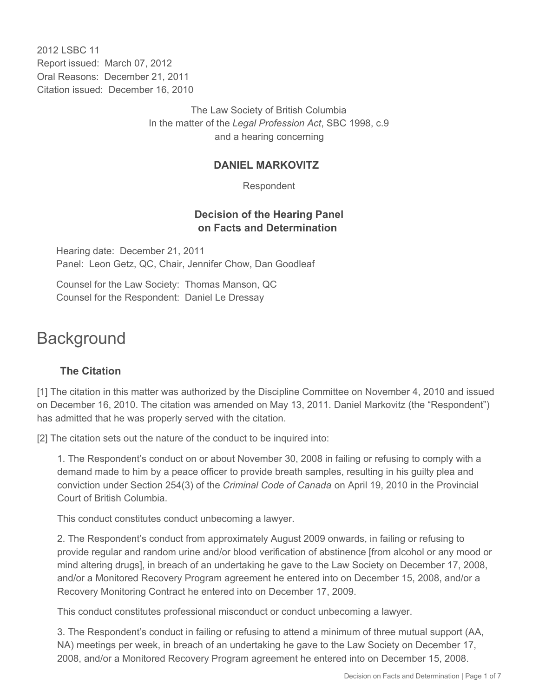2012 LSBC 11 Report issued: March 07, 2012 Oral Reasons: December 21, 2011 Citation issued: December 16, 2010

> The Law Society of British Columbia In the matter of the *Legal Profession Act*, SBC 1998, c.9 and a hearing concerning

## **DANIEL MARKOVITZ**

Respondent

## **Decision of the Hearing Panel on Facts and Determination**

Hearing date: December 21, 2011 Panel: Leon Getz, QC, Chair, Jennifer Chow, Dan Goodleaf

Counsel for the Law Society: Thomas Manson, QC Counsel for the Respondent: Daniel Le Dressay

# **Background**

# **The Citation**

[1] The citation in this matter was authorized by the Discipline Committee on November 4, 2010 and issued on December 16, 2010. The citation was amended on May 13, 2011. Daniel Markovitz (the "Respondent") has admitted that he was properly served with the citation.

[2] The citation sets out the nature of the conduct to be inquired into:

1. The Respondent's conduct on or about November 30, 2008 in failing or refusing to comply with a demand made to him by a peace officer to provide breath samples, resulting in his guilty plea and conviction under Section 254(3) of the *Criminal Code of Canada* on April 19, 2010 in the Provincial Court of British Columbia.

This conduct constitutes conduct unbecoming a lawyer.

2. The Respondent's conduct from approximately August 2009 onwards, in failing or refusing to provide regular and random urine and/or blood verification of abstinence [from alcohol or any mood or mind altering drugs], in breach of an undertaking he gave to the Law Society on December 17, 2008, and/or a Monitored Recovery Program agreement he entered into on December 15, 2008, and/or a Recovery Monitoring Contract he entered into on December 17, 2009.

This conduct constitutes professional misconduct or conduct unbecoming a lawyer.

3. The Respondent's conduct in failing or refusing to attend a minimum of three mutual support (AA, NA) meetings per week, in breach of an undertaking he gave to the Law Society on December 17, 2008, and/or a Monitored Recovery Program agreement he entered into on December 15, 2008.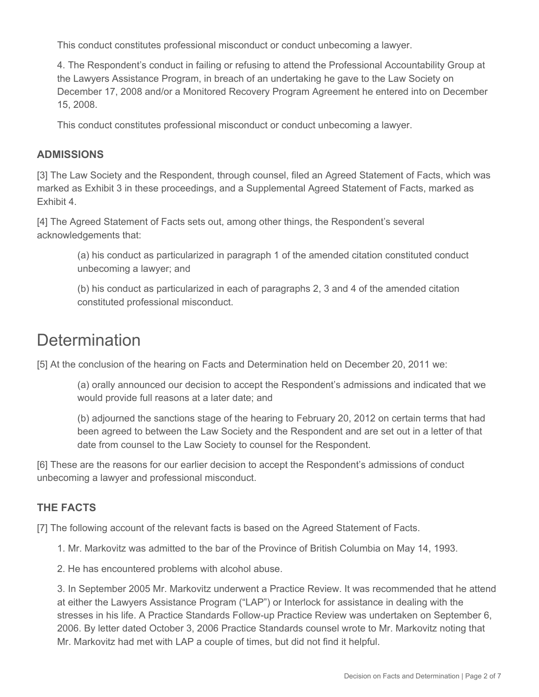This conduct constitutes professional misconduct or conduct unbecoming a lawyer.

4. The Respondent's conduct in failing or refusing to attend the Professional Accountability Group at the Lawyers Assistance Program, in breach of an undertaking he gave to the Law Society on December 17, 2008 and/or a Monitored Recovery Program Agreement he entered into on December 15, 2008.

This conduct constitutes professional misconduct or conduct unbecoming a lawyer.

## **ADMISSIONS**

[3] The Law Society and the Respondent, through counsel, filed an Agreed Statement of Facts, which was marked as Exhibit 3 in these proceedings, and a Supplemental Agreed Statement of Facts, marked as Exhibit 4.

[4] The Agreed Statement of Facts sets out, among other things, the Respondent's several acknowledgements that:

> (a) his conduct as particularized in paragraph 1 of the amended citation constituted conduct unbecoming a lawyer; and

(b) his conduct as particularized in each of paragraphs 2, 3 and 4 of the amended citation constituted professional misconduct.

# **Determination**

[5] At the conclusion of the hearing on Facts and Determination held on December 20, 2011 we:

(a) orally announced our decision to accept the Respondent's admissions and indicated that we would provide full reasons at a later date; and

(b) adjourned the sanctions stage of the hearing to February 20, 2012 on certain terms that had been agreed to between the Law Society and the Respondent and are set out in a letter of that date from counsel to the Law Society to counsel for the Respondent.

[6] These are the reasons for our earlier decision to accept the Respondent's admissions of conduct unbecoming a lawyer and professional misconduct.

# **THE FACTS**

[7] The following account of the relevant facts is based on the Agreed Statement of Facts.

- 1. Mr. Markovitz was admitted to the bar of the Province of British Columbia on May 14, 1993.
- 2. He has encountered problems with alcohol abuse.

3. In September 2005 Mr. Markovitz underwent a Practice Review. It was recommended that he attend at either the Lawyers Assistance Program ("LAP") or Interlock for assistance in dealing with the stresses in his life. A Practice Standards Follow-up Practice Review was undertaken on September 6, 2006. By letter dated October 3, 2006 Practice Standards counsel wrote to Mr. Markovitz noting that Mr. Markovitz had met with LAP a couple of times, but did not find it helpful.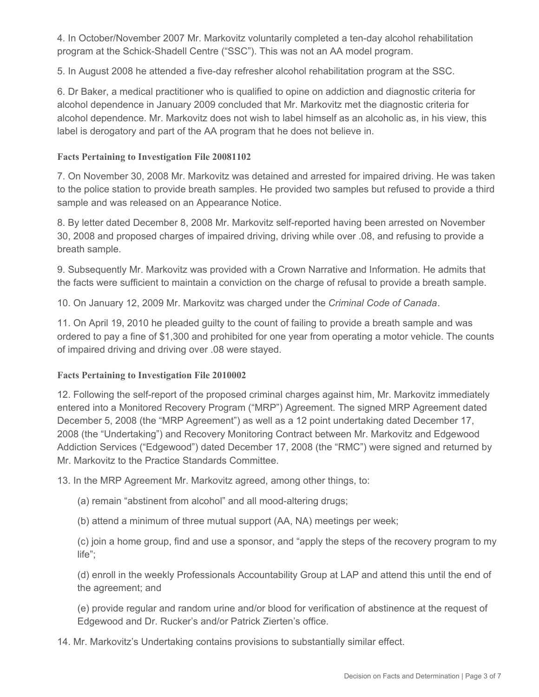4. In October/November 2007 Mr. Markovitz voluntarily completed a ten-day alcohol rehabilitation program at the Schick-Shadell Centre ("SSC"). This was not an AA model program.

5. In August 2008 he attended a five-day refresher alcohol rehabilitation program at the SSC.

6. Dr Baker, a medical practitioner who is qualified to opine on addiction and diagnostic criteria for alcohol dependence in January 2009 concluded that Mr. Markovitz met the diagnostic criteria for alcohol dependence. Mr. Markovitz does not wish to label himself as an alcoholic as, in his view, this label is derogatory and part of the AA program that he does not believe in.

### **Facts Pertaining to Investigation File 20081102**

7. On November 30, 2008 Mr. Markovitz was detained and arrested for impaired driving. He was taken to the police station to provide breath samples. He provided two samples but refused to provide a third sample and was released on an Appearance Notice.

8. By letter dated December 8, 2008 Mr. Markovitz self-reported having been arrested on November 30, 2008 and proposed charges of impaired driving, driving while over .08, and refusing to provide a breath sample.

9. Subsequently Mr. Markovitz was provided with a Crown Narrative and Information. He admits that the facts were sufficient to maintain a conviction on the charge of refusal to provide a breath sample.

10. On January 12, 2009 Mr. Markovitz was charged under the *Criminal Code of Canada*.

11. On April 19, 2010 he pleaded guilty to the count of failing to provide a breath sample and was ordered to pay a fine of \$1,300 and prohibited for one year from operating a motor vehicle. The counts of impaired driving and driving over .08 were stayed.

#### **Facts Pertaining to Investigation File 2010002**

12. Following the self-report of the proposed criminal charges against him, Mr. Markovitz immediately entered into a Monitored Recovery Program ("MRP") Agreement. The signed MRP Agreement dated December 5, 2008 (the "MRP Agreement") as well as a 12 point undertaking dated December 17, 2008 (the "Undertaking") and Recovery Monitoring Contract between Mr. Markovitz and Edgewood Addiction Services ("Edgewood") dated December 17, 2008 (the "RMC") were signed and returned by Mr. Markovitz to the Practice Standards Committee.

13. In the MRP Agreement Mr. Markovitz agreed, among other things, to:

(a) remain "abstinent from alcohol" and all mood-altering drugs;

(b) attend a minimum of three mutual support (AA, NA) meetings per week;

(c) join a home group, find and use a sponsor, and "apply the steps of the recovery program to my life";

(d) enroll in the weekly Professionals Accountability Group at LAP and attend this until the end of the agreement; and

(e) provide regular and random urine and/or blood for verification of abstinence at the request of Edgewood and Dr. Rucker's and/or Patrick Zierten's office.

14. Mr. Markovitz's Undertaking contains provisions to substantially similar effect.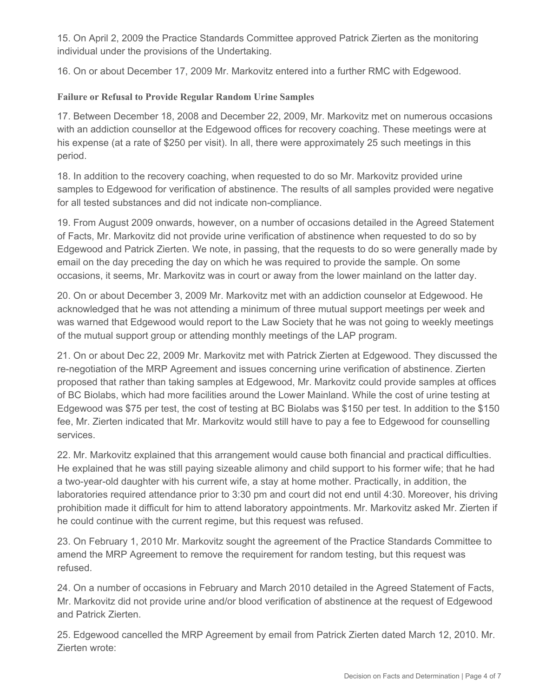15. On April 2, 2009 the Practice Standards Committee approved Patrick Zierten as the monitoring individual under the provisions of the Undertaking.

16. On or about December 17, 2009 Mr. Markovitz entered into a further RMC with Edgewood.

## **Failure or Refusal to Provide Regular Random Urine Samples**

17. Between December 18, 2008 and December 22, 2009, Mr. Markovitz met on numerous occasions with an addiction counsellor at the Edgewood offices for recovery coaching. These meetings were at his expense (at a rate of \$250 per visit). In all, there were approximately 25 such meetings in this period.

18. In addition to the recovery coaching, when requested to do so Mr. Markovitz provided urine samples to Edgewood for verification of abstinence. The results of all samples provided were negative for all tested substances and did not indicate non-compliance.

19. From August 2009 onwards, however, on a number of occasions detailed in the Agreed Statement of Facts, Mr. Markovitz did not provide urine verification of abstinence when requested to do so by Edgewood and Patrick Zierten. We note, in passing, that the requests to do so were generally made by email on the day preceding the day on which he was required to provide the sample. On some occasions, it seems, Mr. Markovitz was in court or away from the lower mainland on the latter day.

20. On or about December 3, 2009 Mr. Markovitz met with an addiction counselor at Edgewood. He acknowledged that he was not attending a minimum of three mutual support meetings per week and was warned that Edgewood would report to the Law Society that he was not going to weekly meetings of the mutual support group or attending monthly meetings of the LAP program.

21. On or about Dec 22, 2009 Mr. Markovitz met with Patrick Zierten at Edgewood. They discussed the re-negotiation of the MRP Agreement and issues concerning urine verification of abstinence. Zierten proposed that rather than taking samples at Edgewood, Mr. Markovitz could provide samples at offices of BC Biolabs, which had more facilities around the Lower Mainland. While the cost of urine testing at Edgewood was \$75 per test, the cost of testing at BC Biolabs was \$150 per test. In addition to the \$150 fee, Mr. Zierten indicated that Mr. Markovitz would still have to pay a fee to Edgewood for counselling services.

22. Mr. Markovitz explained that this arrangement would cause both financial and practical difficulties. He explained that he was still paying sizeable alimony and child support to his former wife; that he had a two-year-old daughter with his current wife, a stay at home mother. Practically, in addition, the laboratories required attendance prior to 3:30 pm and court did not end until 4:30. Moreover, his driving prohibition made it difficult for him to attend laboratory appointments. Mr. Markovitz asked Mr. Zierten if he could continue with the current regime, but this request was refused.

23. On February 1, 2010 Mr. Markovitz sought the agreement of the Practice Standards Committee to amend the MRP Agreement to remove the requirement for random testing, but this request was refused.

24. On a number of occasions in February and March 2010 detailed in the Agreed Statement of Facts, Mr. Markovitz did not provide urine and/or blood verification of abstinence at the request of Edgewood and Patrick Zierten.

25. Edgewood cancelled the MRP Agreement by email from Patrick Zierten dated March 12, 2010. Mr. Zierten wrote: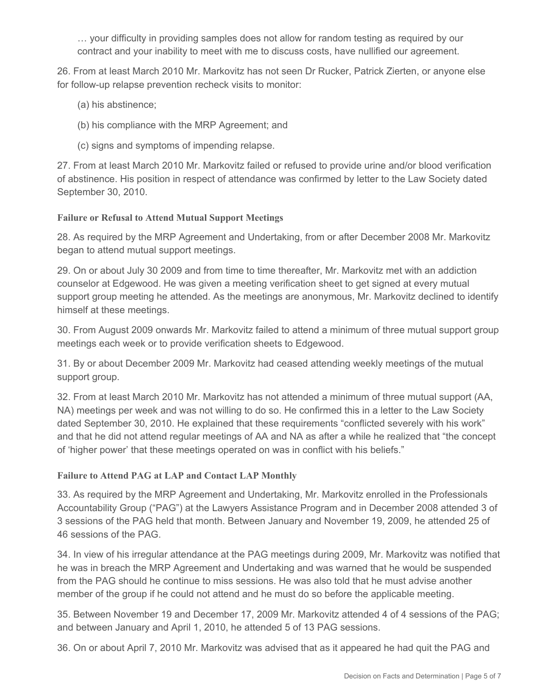… your difficulty in providing samples does not allow for random testing as required by our contract and your inability to meet with me to discuss costs, have nullified our agreement.

26. From at least March 2010 Mr. Markovitz has not seen Dr Rucker, Patrick Zierten, or anyone else for follow-up relapse prevention recheck visits to monitor:

- (a) his abstinence;
- (b) his compliance with the MRP Agreement; and
- (c) signs and symptoms of impending relapse.

27. From at least March 2010 Mr. Markovitz failed or refused to provide urine and/or blood verification of abstinence. His position in respect of attendance was confirmed by letter to the Law Society dated September 30, 2010.

#### **Failure or Refusal to Attend Mutual Support Meetings**

28. As required by the MRP Agreement and Undertaking, from or after December 2008 Mr. Markovitz began to attend mutual support meetings.

29. On or about July 30 2009 and from time to time thereafter, Mr. Markovitz met with an addiction counselor at Edgewood. He was given a meeting verification sheet to get signed at every mutual support group meeting he attended. As the meetings are anonymous, Mr. Markovitz declined to identify himself at these meetings.

30. From August 2009 onwards Mr. Markovitz failed to attend a minimum of three mutual support group meetings each week or to provide verification sheets to Edgewood.

31. By or about December 2009 Mr. Markovitz had ceased attending weekly meetings of the mutual support group.

32. From at least March 2010 Mr. Markovitz has not attended a minimum of three mutual support (AA, NA) meetings per week and was not willing to do so. He confirmed this in a letter to the Law Society dated September 30, 2010. He explained that these requirements "conflicted severely with his work" and that he did not attend regular meetings of AA and NA as after a while he realized that "the concept of 'higher power' that these meetings operated on was in conflict with his beliefs."

#### **Failure to Attend PAG at LAP and Contact LAP Monthly**

33. As required by the MRP Agreement and Undertaking, Mr. Markovitz enrolled in the Professionals Accountability Group ("PAG") at the Lawyers Assistance Program and in December 2008 attended 3 of 3 sessions of the PAG held that month. Between January and November 19, 2009, he attended 25 of 46 sessions of the PAG.

34. In view of his irregular attendance at the PAG meetings during 2009, Mr. Markovitz was notified that he was in breach the MRP Agreement and Undertaking and was warned that he would be suspended from the PAG should he continue to miss sessions. He was also told that he must advise another member of the group if he could not attend and he must do so before the applicable meeting.

35. Between November 19 and December 17, 2009 Mr. Markovitz attended 4 of 4 sessions of the PAG; and between January and April 1, 2010, he attended 5 of 13 PAG sessions.

36. On or about April 7, 2010 Mr. Markovitz was advised that as it appeared he had quit the PAG and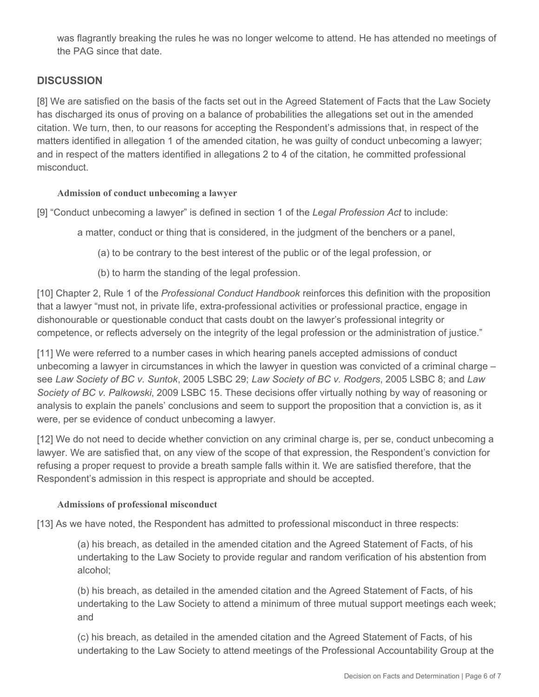was flagrantly breaking the rules he was no longer welcome to attend. He has attended no meetings of the PAG since that date.

# **DISCUSSION**

[8] We are satisfied on the basis of the facts set out in the Agreed Statement of Facts that the Law Society has discharged its onus of proving on a balance of probabilities the allegations set out in the amended citation. We turn, then, to our reasons for accepting the Respondent's admissions that, in respect of the matters identified in allegation 1 of the amended citation, he was guilty of conduct unbecoming a lawyer; and in respect of the matters identified in allegations 2 to 4 of the citation, he committed professional misconduct.

#### **Admission of conduct unbecoming a lawyer**

[9] "Conduct unbecoming a lawyer" is defined in section 1 of the *Legal Profession Act* to include:

a matter, conduct or thing that is considered, in the judgment of the benchers or a panel,

- (a) to be contrary to the best interest of the public or of the legal profession, or
- (b) to harm the standing of the legal profession.

[10] Chapter 2, Rule 1 of the *Professional Conduct Handbook* reinforces this definition with the proposition that a lawyer "must not, in private life, extra-professional activities or professional practice, engage in dishonourable or questionable conduct that casts doubt on the lawyer's professional integrity or competence, or reflects adversely on the integrity of the legal profession or the administration of justice."

[11] We were referred to a number cases in which hearing panels accepted admissions of conduct unbecoming a lawyer in circumstances in which the lawyer in question was convicted of a criminal charge – see *Law Society of BC v. Suntok*, 2005 LSBC 29; *Law Society of BC v. Rodgers*, 2005 LSBC 8; and *Law Society of BC v. Palkowski*, 2009 LSBC 15. These decisions offer virtually nothing by way of reasoning or analysis to explain the panels' conclusions and seem to support the proposition that a conviction is, as it were, per se evidence of conduct unbecoming a lawyer.

[12] We do not need to decide whether conviction on any criminal charge is, per se, conduct unbecoming a lawyer. We are satisfied that, on any view of the scope of that expression, the Respondent's conviction for refusing a proper request to provide a breath sample falls within it. We are satisfied therefore, that the Respondent's admission in this respect is appropriate and should be accepted.

#### **Admissions of professional misconduct**

[13] As we have noted, the Respondent has admitted to professional misconduct in three respects:

(a) his breach, as detailed in the amended citation and the Agreed Statement of Facts, of his undertaking to the Law Society to provide regular and random verification of his abstention from alcohol;

(b) his breach, as detailed in the amended citation and the Agreed Statement of Facts, of his undertaking to the Law Society to attend a minimum of three mutual support meetings each week; and

(c) his breach, as detailed in the amended citation and the Agreed Statement of Facts, of his undertaking to the Law Society to attend meetings of the Professional Accountability Group at the